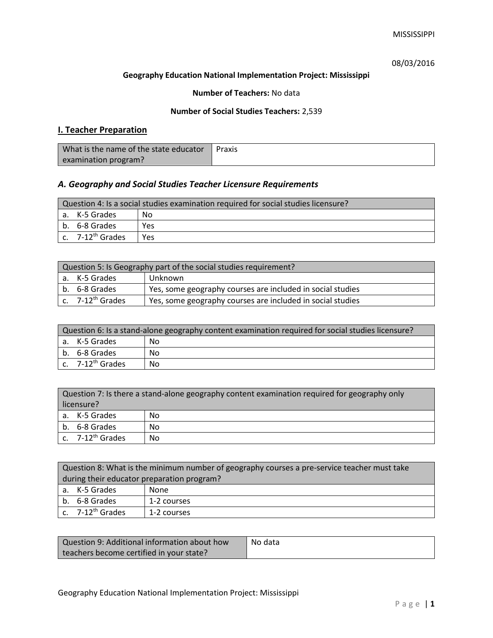# 08/03/2016

### **Geography Education National Implementation Project: Mississippi**

### **Number of Teachers:** No data

### **Number of Social Studies Teachers:** 2,539

# **I. Teacher Preparation**

| What is the name of the state educator | Praxis |
|----------------------------------------|--------|
| examination program?                   |        |

# *A. Geography and Social Studies Teacher Licensure Requirements*

| Question 4: Is a social studies examination required for social studies licensure? |                       |     |
|------------------------------------------------------------------------------------|-----------------------|-----|
|                                                                                    | a. K-5 Grades         | No. |
|                                                                                    | b. 6-8 Grades         | Yes |
|                                                                                    | c. $7-12^{th}$ Grades | Yes |

| Question 5: Is Geography part of the social studies requirement? |                                                                             |                                                            |  |
|------------------------------------------------------------------|-----------------------------------------------------------------------------|------------------------------------------------------------|--|
|                                                                  | a. K-5 Grades                                                               | Unknown                                                    |  |
|                                                                  | Yes, some geography courses are included in social studies<br>b. 6-8 Grades |                                                            |  |
|                                                                  | c. 7-12 <sup>th</sup> Grades                                                | Yes, some geography courses are included in social studies |  |

| Question 6: Is a stand-alone geography content examination required for social studies licensure? |    |  |
|---------------------------------------------------------------------------------------------------|----|--|
| a. K-5 Grades                                                                                     | No |  |
| b. 6-8 Grades                                                                                     | No |  |
| c. $7-12^{th}$ Grades                                                                             | No |  |

| Question 7: Is there a stand-alone geography content examination required for geography only<br>licensure? |                       |    |
|------------------------------------------------------------------------------------------------------------|-----------------------|----|
|                                                                                                            | a. K-5 Grades         | No |
|                                                                                                            | b. 6-8 Grades         | No |
|                                                                                                            | c. $7-12^{th}$ Grades | No |

| Question 8: What is the minimum number of geography courses a pre-service teacher must take |                       |             |
|---------------------------------------------------------------------------------------------|-----------------------|-------------|
| during their educator preparation program?                                                  |                       |             |
|                                                                                             | a. K-5 Grades         | None        |
|                                                                                             | b. 6-8 Grades         | 1-2 courses |
|                                                                                             | c. $7-12^{th}$ Grades | 1-2 courses |

| Question 9: Additional information about how | No data |
|----------------------------------------------|---------|
| teachers become certified in your state?     |         |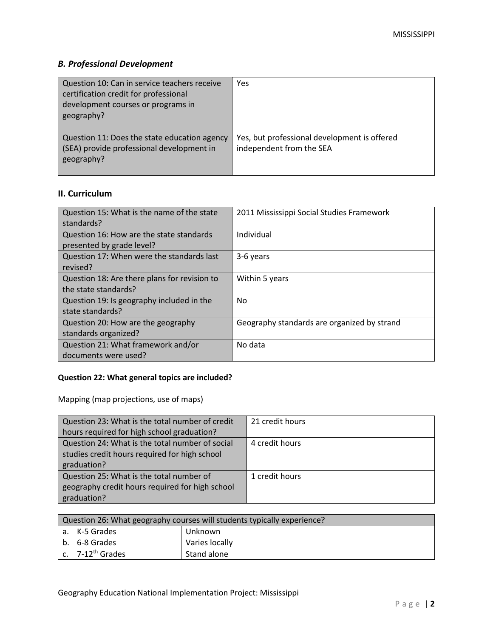# *B. Professional Development*

| Question 10: Can in service teachers receive<br>certification credit for professional<br>development courses or programs in<br>geography? | Yes                                                                      |
|-------------------------------------------------------------------------------------------------------------------------------------------|--------------------------------------------------------------------------|
| Question 11: Does the state education agency<br>(SEA) provide professional development in<br>geography?                                   | Yes, but professional development is offered<br>independent from the SEA |

# **II. Curriculum**

| Question 15: What is the name of the state   | 2011 Mississippi Social Studies Framework   |
|----------------------------------------------|---------------------------------------------|
| standards?                                   |                                             |
| Question 16: How are the state standards     | Individual                                  |
| presented by grade level?                    |                                             |
| Question 17: When were the standards last    | 3-6 years                                   |
| revised?                                     |                                             |
| Question 18: Are there plans for revision to | Within 5 years                              |
| the state standards?                         |                                             |
| Question 19: Is geography included in the    | No                                          |
| state standards?                             |                                             |
| Question 20: How are the geography           | Geography standards are organized by strand |
| standards organized?                         |                                             |
| Question 21: What framework and/or           | No data                                     |
| documents were used?                         |                                             |

# **Question 22: What general topics are included?**

Mapping (map projections, use of maps)

| Question 23: What is the total number of credit | 21 credit hours |
|-------------------------------------------------|-----------------|
| hours required for high school graduation?      |                 |
| Question 24: What is the total number of social | 4 credit hours  |
| studies credit hours required for high school   |                 |
| graduation?                                     |                 |
| Question 25: What is the total number of        | 1 credit hours  |
| geography credit hours required for high school |                 |
| graduation?                                     |                 |

| Question 26: What geography courses will students typically experience? |                          |                |  |  |
|-------------------------------------------------------------------------|--------------------------|----------------|--|--|
|                                                                         | a. K-5 Grades<br>Unknown |                |  |  |
|                                                                         | b. 6-8 Grades            | Varies locally |  |  |
|                                                                         | c. $7-12^{th}$ Grades    | Stand alone    |  |  |